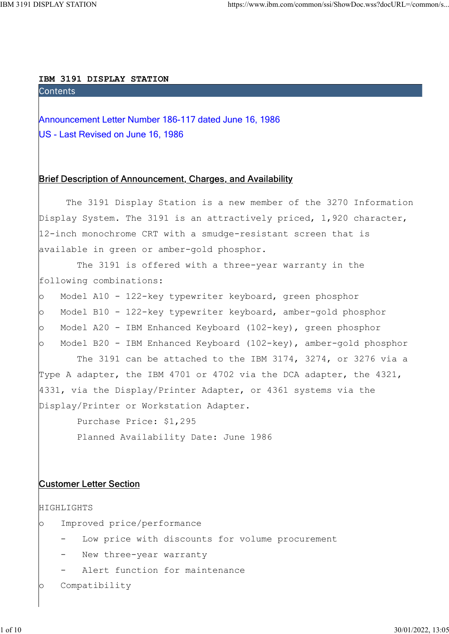#### IBM 3191 DISPLAY STATION

Announcement Letter Number 186-117 dated June 16, 1986<br>Announcement Letter Number 186-117 dated June 16, 1986<br>US - Last Revised on June 16, 1986 US - Last Revised on June 16, 1986

# Brief Description of Announcement, Charges, and Availability

 The 3191 Display Station is a new member of the 3270 Information Display System. The 3191 is an attractively priced, 1,920 character, 12-inch monochrome CRT with a smudge-resistant screen that is available in green or amber-gold phosphor.

 The 3191 is offered with a three-year warranty in the following combinations:

- o Model A10 122-key typewriter keyboard, green phosphor
- o Model B10 122-key typewriter keyboard, amber-gold phosphor
- o Model A20 IBM Enhanced Keyboard (102-key), green phosphor

o Model B20 - IBM Enhanced Keyboard (102-key), amber-gold phosphor

 The 3191 can be attached to the IBM 3174, 3274, or 3276 via a Type A adapter, the IBM 4701 or 4702 via the DCA adapter, the 4321, 4331, via the Display/Printer Adapter, or 4361 systems via the Display/Printer or Workstation Adapter.

 Purchase Price: \$1,295 Planned Availability Date: June 1986

## Customer Letter Section

```
HIGHLIGHTS
```
- o Improved price/performance
	- Low price with discounts for volume procurement
	- New three-year warranty
	- Alert function for maintenance
- o Compatibility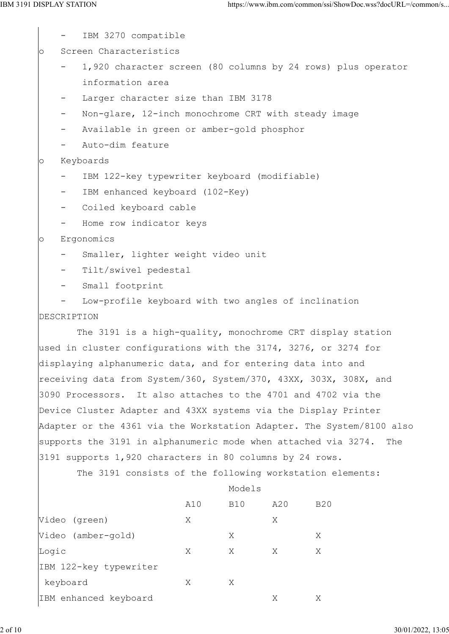IBM 3270 compatible

o Screen Characteristics

- 1,920 character screen (80 columns by 24 rows) plus operator information area
- Larger character size than IBM 3178
- Non-glare, 12-inch monochrome CRT with steady image
- Available in green or amber-gold phosphor
- Auto-dim feature

### o Keyboards

- IBM 122-key typewriter keyboard (modifiable)
- IBM enhanced keyboard (102-Key)
- Coiled keyboard cable
- Home row indicator keys

### o Ergonomics

- Smaller, lighter weight video unit
- Tilt/swivel pedestal
- Small footprint
- Low-profile keyboard with two angles of inclination DESCRIPTION

 The 3191 is a high-quality, monochrome CRT display station used in cluster configurations with the 3174, 3276, or 3274 for displaying alphanumeric data, and for entering data into and receiving data from System/360, System/370, 43XX, 303X, 308X, and 3090 Processors. It also attaches to the 4701 and 4702 via the Device Cluster Adapter and 43XX systems via the Display Printer Adapter or the 4361 via the Workstation Adapter. The System/8100 also supports the 3191 in alphanumeric mode when attached via 3274. The 3191 supports 1,920 characters in 80 columns by 24 rows.

The 3191 consists of the following workstation elements:

### Models and Models and Models and Models and Models and Models and Models and Models and Models and Models and Models and Models and Models and Models and Models and Models and Models and Models and Models and Models and Mo

|                        | A10 | <b>B10</b> | A20 | <b>B20</b> |
|------------------------|-----|------------|-----|------------|
| Video (green)          | X   |            | Χ   |            |
| Video (amber-gold)     |     | Χ          |     | Χ          |
| Logic                  | Χ   | Χ          | Χ   | Χ          |
| IBM 122-key typewriter |     |            |     |            |
| keyboard               | X   | Χ          |     |            |
| IBM enhanced keyboard  |     |            | Χ   | Χ          |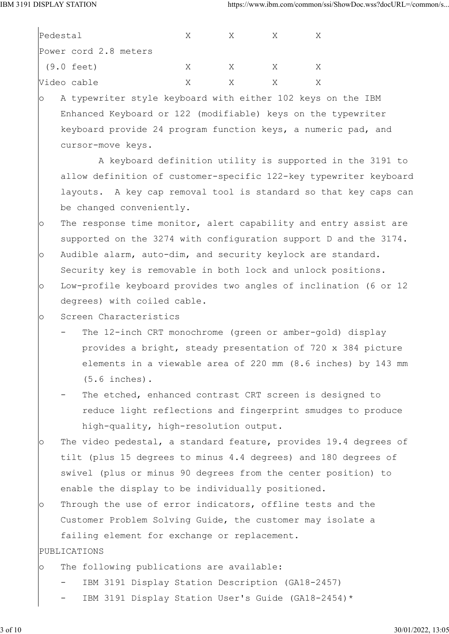|         | Pedestal                 | Χ                                                                 | X | X | X |  |
|---------|--------------------------|-------------------------------------------------------------------|---|---|---|--|
|         | Power cord 2.8 meters    |                                                                   |   |   |   |  |
|         | $(9.0 \text{ feet})$     | X                                                                 | X | X | X |  |
|         | Video cable              | Χ                                                                 | X | X | X |  |
| $\circ$ |                          | A typewriter style keyboard with either 102 keys on the IBM       |   |   |   |  |
|         |                          | Enhanced Keyboard or 122 (modifiable) keys on the typewriter      |   |   |   |  |
|         |                          | keyboard provide 24 program function keys, a numeric pad, and     |   |   |   |  |
|         | cursor-move keys.        |                                                                   |   |   |   |  |
|         |                          | A keyboard definition utility is supported in the 3191 to         |   |   |   |  |
|         |                          | allow definition of customer-specific 122-key typewriter keyboard |   |   |   |  |
|         |                          | layouts. A key cap removal tool is standard so that key caps can  |   |   |   |  |
|         | be changed conveniently. |                                                                   |   |   |   |  |
| $\circ$ |                          | The response time monitor, alert capability and entry assist are  |   |   |   |  |
|         |                          | supported on the 3274 with configuration support D and the 3174.  |   |   |   |  |
| $\circ$ |                          | Audible alarm, auto-dim, and security keylock are standard.       |   |   |   |  |
|         |                          | Security key is removable in both lock and unlock positions.      |   |   |   |  |
| O       |                          | Low-profile keyboard provides two angles of inclination (6 or 12  |   |   |   |  |
|         |                          | degrees) with coiled cable.                                       |   |   |   |  |
| $\circ$ | Screen Characteristics   |                                                                   |   |   |   |  |
|         |                          | The 12-inch CRT monochrome (green or amber-gold) display          |   |   |   |  |
|         |                          | provides a bright, steady presentation of 720 x 384 picture       |   |   |   |  |
|         |                          | elements in a viewable area of 220 mm (8.6 inches) by 143 mm      |   |   |   |  |
|         | $(5.6$ inches).          |                                                                   |   |   |   |  |
|         |                          | The etched, enhanced contrast CRT screen is designed to           |   |   |   |  |
|         |                          | reduce light reflections and fingerprint smudges to produce       |   |   |   |  |
|         |                          | high-quality, high-resolution output.                             |   |   |   |  |
| $\circ$ |                          | The video pedestal, a standard feature, provides 19.4 degrees of  |   |   |   |  |
|         |                          | tilt (plus 15 degrees to minus 4.4 degrees) and 180 degrees of    |   |   |   |  |
|         |                          | swivel (plus or minus 90 degrees from the center position) to     |   |   |   |  |
|         |                          | enable the display to be individually positioned.                 |   |   |   |  |
| $\circ$ |                          | Through the use of error indicators, offline tests and the        |   |   |   |  |
|         |                          | Customer Problem Solving Guide, the customer may isolate a        |   |   |   |  |
|         |                          | failing element for exchange or replacement.                      |   |   |   |  |
|         | PUBLICATIONS             |                                                                   |   |   |   |  |
| $\circ$ |                          | The following publications are available:                         |   |   |   |  |
|         | $\overline{\phantom{a}}$ | IBM 3191 Display Station Description (GA18-2457)                  |   |   |   |  |
|         |                          | IBM 3191 Display Station User's Guide (GA18-2454)*                |   |   |   |  |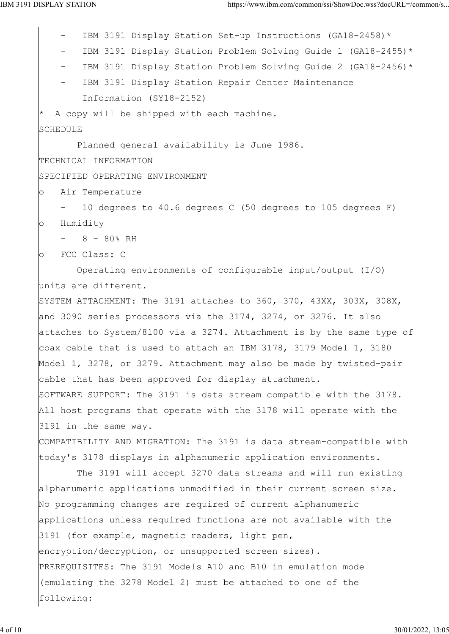IBM 3191 Display Station Set-up Instructions (GA18-2458)\* IBM 3191 Display Station Problem Solving Guide 1 (GA18-2455)\* IBM 3191 Display Station Problem Solving Guide 2 (GA18-2456)\* IBM 3191 Display Station Repair Center Maintenance Information (SY18-2152) A copy will be shipped with each machine. SCHEDULE Planned general availability is June 1986. TECHNICAL INFORMATION SPECIFIED OPERATING ENVIRONMENT o Air Temperature - 10 degrees to 40.6 degrees C (50 degrees to 105 degrees F) o Humidity  $- 8 - 80$ % RH o FCC Class: C Operating environments of configurable input/output (I/O) units are different. SYSTEM ATTACHMENT: The 3191 attaches to 360, 370, 43XX, 303X, 308X, and 3090 series processors via the 3174, 3274, or 3276. It also attaches to System/8100 via a 3274. Attachment is by the same type of coax cable that is used to attach an IBM 3178, 3179 Model 1, 3180 Model 1, 3278, or 3279. Attachment may also be made by twisted-pair cable that has been approved for display attachment. SOFTWARE SUPPORT: The 3191 is data stream compatible with the 3178. All host programs that operate with the 3178 will operate with the 3191 in the same way. COMPATIBILITY AND MIGRATION: The 3191 is data stream-compatible with today's 3178 displays in alphanumeric application environments. The 3191 will accept 3270 data streams and will run existing alphanumeric applications unmodified in their current screen size. No programming changes are required of current alphanumeric applications unless required functions are not available with the 3191 (for example, magnetic readers, light pen, encryption/decryption, or unsupported screen sizes). PREREQUISITES: The 3191 Models A10 and B10 in emulation mode (emulating the 3278 Model 2) must be attached to one of the following: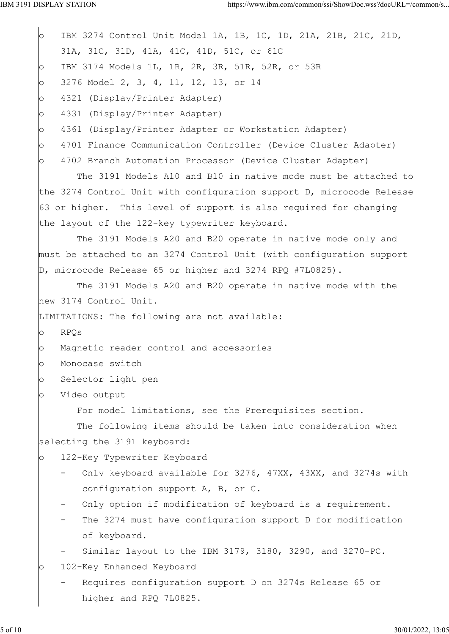o IBM 3274 Control Unit Model 1A, 1B, 1C, 1D, 21A, 21B, 21C, 21D, 31A, 31C, 31D, 41A, 41C, 41D, 51C, or 61C o IBM 3174 Models 1L, 1R, 2R, 3R, 51R, 52R, or 53R o 3276 Model 2, 3, 4, 11, 12, 13, or 14 o 4321 (Display/Printer Adapter) o 4331 (Display/Printer Adapter) o 4361 (Display/Printer Adapter or Workstation Adapter) o 4701 Finance Communication Controller (Device Cluster Adapter) o 4702 Branch Automation Processor (Device Cluster Adapter) The 3191 Models A10 and B10 in native mode must be attached to the 3274 Control Unit with configuration support D, microcode Release 63 or higher. This level of support is also required for changing the layout of the 122-key typewriter keyboard. The 3191 Models A20 and B20 operate in native mode only and must be attached to an 3274 Control Unit (with configuration support D, microcode Release 65 or higher and 3274 RPQ #7L0825). The 3191 Models A20 and B20 operate in native mode with the new 3174 Control Unit. LIMITATIONS: The following are not available: o RPQs o Magnetic reader control and accessories o Monocase switch o Selector light pen o Video output For model limitations, see the Prerequisites section. The following items should be taken into consideration when selecting the 3191 keyboard: o 122-Key Typewriter Keyboard Only keyboard available for 3276, 47XX, 43XX, and 3274s with configuration support A, B, or C. Only option if modification of keyboard is a requirement. The 3274 must have configuration support D for modification of keyboard. Similar layout to the IBM 3179, 3180, 3290, and 3270-PC. o 102-Key Enhanced Keyboard Requires configuration support D on 3274s Release 65 or higher and RPQ 7L0825.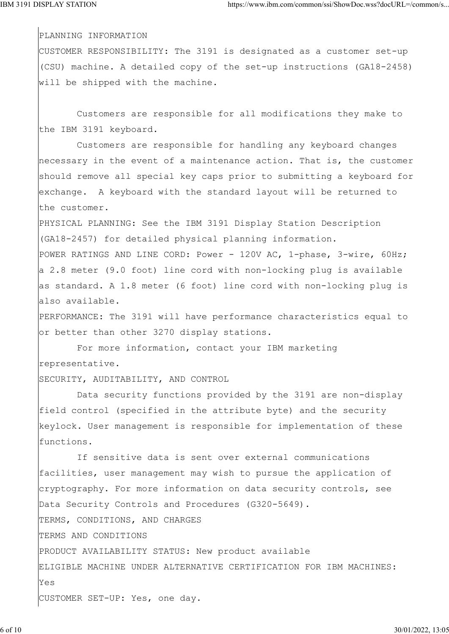PLANNING INFORMATION

CUSTOMER RESPONSIBILITY: The 3191 is designated as a customer set-up (CSU) machine. A detailed copy of the set-up instructions (GA18-2458) will be shipped with the machine.

 Customers are responsible for all modifications they make to the IBM 3191 keyboard.

 Customers are responsible for handling any keyboard changes necessary in the event of a maintenance action. That is, the customer should remove all special key caps prior to submitting a keyboard for exchange. A keyboard with the standard layout will be returned to the customer.

PHYSICAL PLANNING: See the IBM 3191 Display Station Description (GA18-2457) for detailed physical planning information.

POWER RATINGS AND LINE CORD: Power - 120V AC, 1-phase, 3-wire, 60Hz; a 2.8 meter (9.0 foot) line cord with non-locking plug is available as standard. A 1.8 meter (6 foot) line cord with non-locking plug is also available.

PERFORMANCE: The 3191 will have performance characteristics equal to or better than other 3270 display stations.

 For more information, contact your IBM marketing representative.

SECURITY, AUDITABILITY, AND CONTROL

 Data security functions provided by the 3191 are non-display field control (specified in the attribute byte) and the security keylock. User management is responsible for implementation of these functions.

 If sensitive data is sent over external communications facilities, user management may wish to pursue the application of cryptography. For more information on data security controls, see Data Security Controls and Procedures (G320-5649). TERMS, CONDITIONS, AND CHARGES TERMS AND CONDITIONS PRODUCT AVAILABILITY STATUS: New product available ELIGIBLE MACHINE UNDER ALTERNATIVE CERTIFICATION FOR IBM MACHINES: Yes CUSTOMER SET-UP: Yes, one day.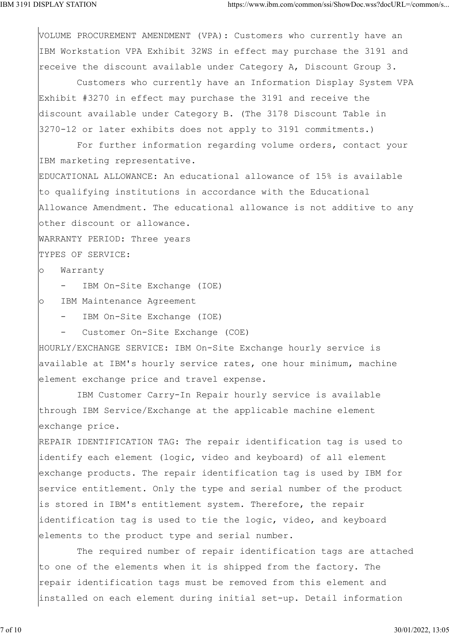VOLUME PROCUREMENT AMENDMENT (VPA): Customers who currently have an IBM Workstation VPA Exhibit 32WS in effect may purchase the 3191 and receive the discount available under Category A, Discount Group 3.

 Customers who currently have an Information Display System VPA Exhibit #3270 in effect may purchase the 3191 and receive the discount available under Category B. (The 3178 Discount Table in 3270-12 or later exhibits does not apply to 3191 commitments.)

 For further information regarding volume orders, contact your IBM marketing representative.

EDUCATIONAL ALLOWANCE: An educational allowance of 15% is available to qualifying institutions in accordance with the Educational Allowance Amendment. The educational allowance is not additive to any other discount or allowance.

WARRANTY PERIOD: Three years

TYPES OF SERVICE:

o Warranty

- IBM On-Site Exchange (IOE)

o IBM Maintenance Agreement

- IBM On-Site Exchange (IOE)

Customer On-Site Exchange (COE)

HOURLY/EXCHANGE SERVICE: IBM On-Site Exchange hourly service is available at IBM's hourly service rates, one hour minimum, machine element exchange price and travel expense.

 IBM Customer Carry-In Repair hourly service is available through IBM Service/Exchange at the applicable machine element exchange price.

REPAIR IDENTIFICATION TAG: The repair identification tag is used to identify each element (logic, video and keyboard) of all element exchange products. The repair identification tag is used by IBM for service entitlement. Only the type and serial number of the product is stored in IBM's entitlement system. Therefore, the repair identification tag is used to tie the logic, video, and keyboard elements to the product type and serial number.

 The required number of repair identification tags are attached to one of the elements when it is shipped from the factory. The repair identification tags must be removed from this element and installed on each element during initial set-up. Detail information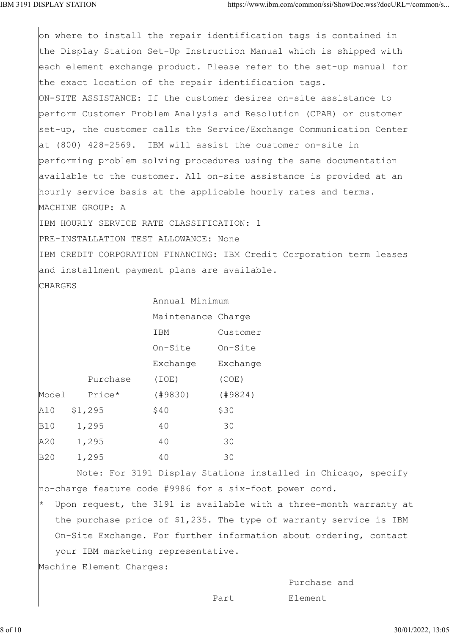$|$ on where to install the repair identification tags is contained in the Display Station Set-Up Instruction Manual which is shipped with each element exchange product. Please refer to the set-up manual for the exact location of the repair identification tags. ON-SITE ASSISTANCE: If the customer desires on-site assistance to perform Customer Problem Analysis and Resolution (CPAR) or customer set-up, the customer calls the Service/Exchange Communication Center at (800) 428-2569. IBM will assist the customer on-site in performing problem solving procedures using the same documentation available to the customer. All on-site assistance is provided at an hourly service basis at the applicable hourly rates and terms. MACHINE GROUP: A IBM HOURLY SERVICE RATE CLASSIFICATION: 1 PRE-INSTALLATION TEST ALLOWANCE: None IBM CREDIT CORPORATION FINANCING: IBM Credit Corporation term leases and installment payment plans are available. **CHARGES** 

|          |                    | Annual Minimum |  |
|----------|--------------------|----------------|--|
|          | Maintenance Charge |                |  |
|          | IBM                | Customer       |  |
|          | On-Site            | On-Site        |  |
|          | Exchange           | Exchange       |  |
| Purchase | (IOE)              | (COE)          |  |
| Price*   | (19830)            | (19824)        |  |
| \$1,295  | \$40               | \$30           |  |
| 1,295    | 40                 | 30             |  |
| 1,295    | 40                 | 30             |  |
| 1,295    | 40                 | 30             |  |
|          | Model              |                |  |

 Note: For 3191 Display Stations installed in Chicago, specify no-charge feature code #9986 for a six-foot power cord.

Upon request, the 3191 is available with a three-month warranty at the purchase price of \$1,235. The type of warranty service is IBM On-Site Exchange. For further information about ordering, contact your IBM marketing representative.

Machine Element Charges:

Purchase and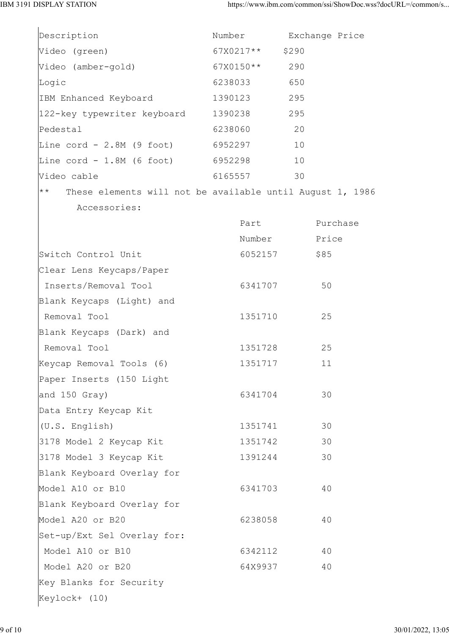| Description                                                                | Number    | Exchange Price |
|----------------------------------------------------------------------------|-----------|----------------|
| Video (green)                                                              | 67X0217** | \$290          |
| Video (amber-gold)                                                         | 67X0150** | 290            |
| Logic                                                                      | 6238033   | 650            |
| IBM Enhanced Keyboard                                                      | 1390123   | 295            |
| 122-key typewriter keyboard 1390238                                        |           | 295            |
| Pedestal                                                                   | 6238060   | 20             |
| Line cord - 2.8M (9 foot) 6952297                                          |           | 10             |
| Line $\text{cord}$ - 1.8M (6 foot) 6952298                                 |           | 10             |
| Video cable                                                                | 6165557   | 30             |
| $\star \star$<br>These elements will not be available until August 1, 1986 |           |                |
| Accessories:                                                               |           |                |
|                                                                            | Part      | Purchase       |
|                                                                            | Number    | Price          |
| Switch Control Unit                                                        | 6052157   | \$85           |
| Clear Lens Keycaps/Paper                                                   |           |                |
| Inserts/Removal Tool                                                       | 6341707   | 50             |
| Blank Keycaps (Light) and                                                  |           |                |
| Removal Tool                                                               | 1351710   | 25             |
| Blank Keycaps (Dark) and                                                   |           |                |
| Removal Tool                                                               | 1351728   | 25             |
| Keycap Removal Tools (6)                                                   | 1351717   | 11             |
| Paper Inserts (150 Light                                                   |           |                |
| and 150 Gray)                                                              | 6341704   | 30             |
| Data Entry Keycap Kit                                                      |           |                |
| $(U.S.$ English)                                                           | 1351741   | 30             |
| 3178 Model 2 Keycap Kit                                                    | 1351742   | 30             |
| 3178 Model 3 Keycap Kit                                                    | 1391244   | 30             |
| Blank Keyboard Overlay for                                                 |           |                |
| Model A10 or B10                                                           | 6341703   | 40             |
| Blank Keyboard Overlay for                                                 |           |                |
| Model A20 or B20                                                           | 6238058   | 40             |
| Set-up/Ext Sel Overlay for:                                                |           |                |
| Model A10 or B10                                                           | 6342112   | 40             |
| Model A20 or B20                                                           | 64X9937   | 40             |
| Key Blanks for Security                                                    |           |                |
| Keylock+ (10)                                                              |           |                |
|                                                                            |           |                |